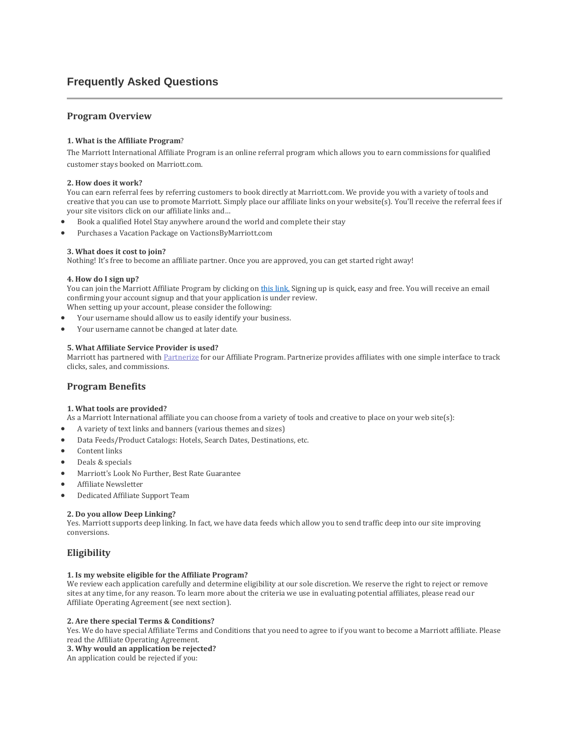# **Frequently Asked Questions**

# **Program Overview**

### **1. What is the Affiliate Program**?

The Marriott International Affiliate Program is an online referral program which allows you to earn commissions for qualified customer stays booked on Marriott.com.

#### **2. How does it work?**

You can earn referral fees by referring customers to book directly at Marriott.com. We provide you with a variety of tools and creative that you can use to promote Marriott. Simply place our affiliate links on your website(s). You'll receive the referral fees if your site visitors click on our affiliate links and…

- Book a qualified Hotel Stay anywhere around the world and complete their stay
- Purchases a Vacation Package on VactionsByMarriott.com

### **3. What does it cost to join?**

Nothing! It's free to become an affiliate partner. Once you are approved, you can get started right away!

#### **4. How do I sign up?**

You can join the Marriott Affiliate Program by clicking o[n this](https://signup.performancehorizon.com/signup/en/marriott) link. Signing up is quick, easy and free. You will receive an email confirming your account signup and that your application is under review.

- When setting up your account, please consider the following:
- Your username should allow us to easily identify your business.
- Your username cannot be changed at later date.

#### **5. What Affiliate Service Provider is used?**

Marriott has partnered with [Partnerize](https://partnerize.com/en) for our Affiliate Program. Partnerize provides affiliates with one simple interface to track clicks, sales, and commissions.

### **Program Benefits**

### **1. What tools are provided?**

As a Marriott International affiliate you can choose from a variety of tools and creative to place on your web site(s):

- A variety of text links and banners (various themes and sizes)
- Data Feeds/Product Catalogs: Hotels, Search Dates, Destinations, etc.
- Content links
- Deals & specials
- Marriott's Look No Further, Best Rate Guarantee
- Affiliate Newsletter
- Dedicated Affiliate Support Team

### **2. Do you allow Deep Linking?**

Yes. Marriott supports deep linking. In fact, we have data feeds which allow you to send traffic deep into our site improving conversions.

### **Eligibility**

#### **1. Is my website eligible for the Affiliate Program?**

We review each application carefully and determine eligibility at our sole discretion. We reserve the right to reject or remove sites at any time, for any reason. To learn more about the criteria we use in evaluating potential affiliates, please read our Affiliate Operating Agreement (see next section).

#### **2. Are there special Terms & Conditions?**

Yes. We do have special Affiliate Terms and Conditions that you need to agree to if you want to become a Marriott affiliate. Please read the Affiliate Operating Agreement.

### **3. Why would an application be rejected?**

An application could be rejected if you: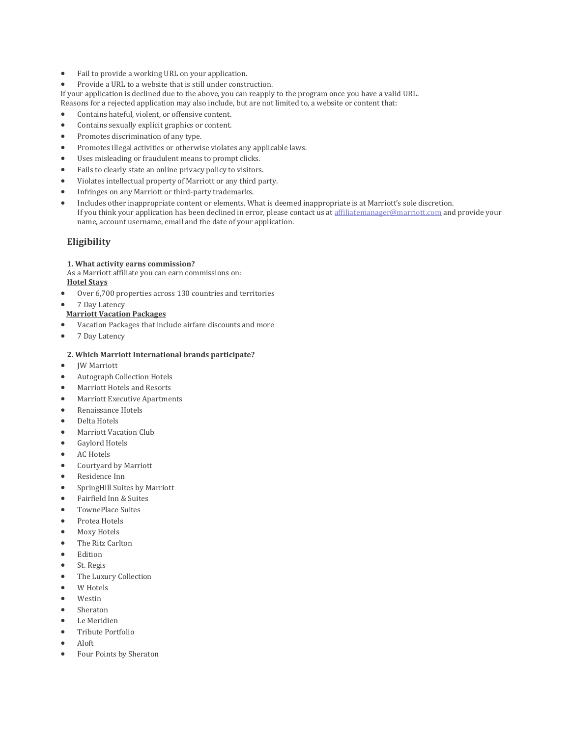- Fail to provide a working URL on your application.
- Provide a URL to a website that is still under construction.

If your application is declined due to the above, you can reapply to the program once you have a valid URL. Reasons for a rejected application may also include, but are not limited to, a website or content that:

- Contains hateful, violent, or offensive content.
- Contains sexually explicit graphics or content.
- Promotes discrimination of any type.
- Promotes illegal activities or otherwise violates any applicable laws.
- Uses misleading or fraudulent means to prompt clicks.
- Fails to clearly state an online privacy policy to visitors.
- Violates intellectual property of Marriott or any third party.
- Infringes on any Marriott or third-party trademarks.
- Includes other inappropriate content or elements. What is deemed inappropriate is at Marriott's sole discretion. If you think your application has been declined in error, please contact us at [affiliatemanager@marriott.com](mailto:affiliatemanager@marriott.com) and provide your name, account username, email and the date of your application.

## **Eligibility**

### **1. What activity earns commission?**

As a Marriott affiliate you can earn commissions on:

### **Hotel Stays**

- Over 6,700 properties across 130 countries and territories
- 7 Day Latency

### **Marriott Vacation Packages**

- Vacation Packages that include airfare discounts and more
- 7 Day Latency

### **2. Which Marriott International brands participate?**

- JW Marriott
- Autograph Collection Hotels
- Marriott Hotels and Resorts
- Marriott Executive Apartments
- Renaissance Hotels
- Delta Hotels
- Marriott Vacation Club
- Gaylord Hotels
- AC Hotels
- Courtyard by Marriott
- Residence Inn
- SpringHill Suites by Marriott
- Fairfield Inn & Suites
- TownePlace Suites
- Protea Hotels
- Moxy Hotels
- The Ritz Carlton
- Edition
- St. Regis
- The Luxury Collection
- W Hotels
- Westin
- Sheraton
- Le Meridien
- Tribute Portfolio
- Aloft
- Four Points by Sheraton